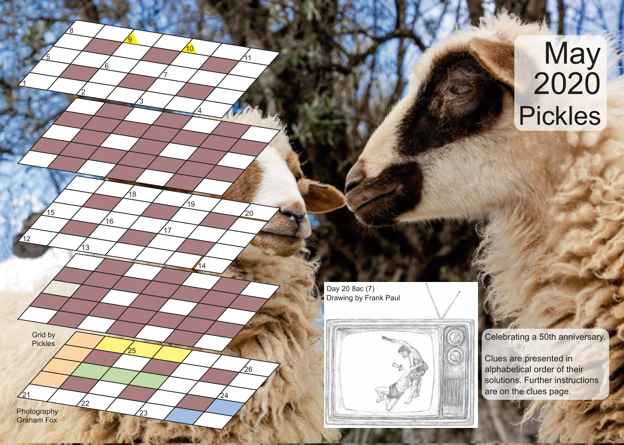## **May** 2020 Pickles

Drawing by Frank Paul Day 20 8ac (7)

2

 $43$ 

 $\frac{1}{22}$ 

 $21 / 24$ 

23

 $\frac{25}{35}$ 

 $16$ 

<u>8</u>

່ິດ

1

12

 $15$ 

5

Photography Graham Fox

Grid by Pickles 3

18

<u>9</u>

7

 $17$ 

4

 $^{74}$ 

 $\frac{1}{19}$ 

<u>11</u>

 $\frac{20}{5}$ 

 $\frac{26}{5}$ 

10



Celebrating a 50th anniversary.

Clues are presented in alphabetical order of their solutions. Further instructions are on the clues page.